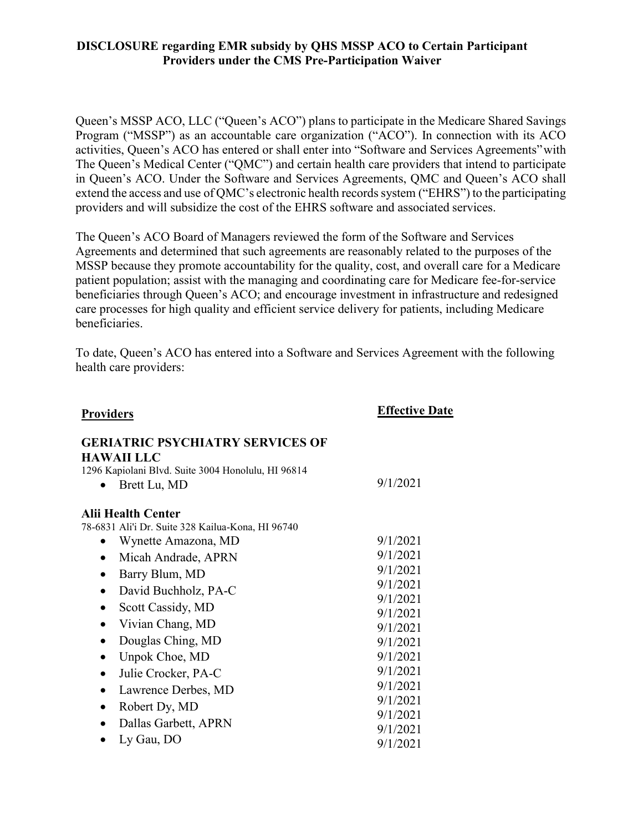Queen's MSSP ACO, LLC ("Queen's ACO") plans to participate in the Medicare Shared Savings Program ("MSSP") as an accountable care organization ("ACO"). In connection with its ACO activities, Queen's ACO has entered or shall enter into "Software and Services Agreements"with The Queen's Medical Center ("QMC") and certain health care providers that intend to participate in Queen's ACO. Under the Software and Services Agreements, QMC and Queen's ACO shall extend the access and use of OMC's electronic health records system ("EHRS") to the participating providers and will subsidize the cost of the EHRS software and associated services.

The Queen's ACO Board of Managers reviewed the form of the Software and Services Agreements and determined that such agreements are reasonably related to the purposes of the MSSP because they promote accountability for the quality, cost, and overall care for a Medicare patient population; assist with the managing and coordinating care for Medicare fee-for-service beneficiaries through Queen's ACO; and encourage investment in infrastructure and redesigned care processes for high quality and efficient service delivery for patients, including Medicare beneficiaries.

To date, Queen's ACO has entered into a Software and Services Agreement with the following health care providers:

| <b>Providers</b>                                                                                                                   | <b>Effective Date</b> |
|------------------------------------------------------------------------------------------------------------------------------------|-----------------------|
| <b>GERIATRIC PSYCHIATRY SERVICES OF</b><br><b>HAWAII LLC</b><br>1296 Kapiolani Blvd. Suite 3004 Honolulu, HI 96814<br>Brett Lu, MD | 9/1/2021              |
| <b>Alii Health Center</b><br>78-6831 Ali'i Dr. Suite 328 Kailua-Kona, HI 96740                                                     |                       |
| Wynette Amazona, MD                                                                                                                | 9/1/2021              |
| Micah Andrade, APRN                                                                                                                | 9/1/2021              |
| Barry Blum, MD                                                                                                                     | 9/1/2021              |
| David Buchholz, PA-C                                                                                                               | 9/1/2021              |
| Scott Cassidy, MD<br>$\bullet$                                                                                                     | 9/1/2021              |
|                                                                                                                                    | 9/1/2021              |
| Vivian Chang, MD                                                                                                                   | 9/1/2021              |
| Douglas Ching, MD<br>$\bullet$                                                                                                     | 9/1/2021              |
| Unpok Choe, MD                                                                                                                     | 9/1/2021              |
| Julie Crocker, PA-C<br>$\bullet$                                                                                                   | 9/1/2021              |
| Lawrence Derbes, MD<br>$\bullet$                                                                                                   | 9/1/2021              |
| Robert Dy, MD                                                                                                                      | 9/1/2021              |
|                                                                                                                                    | 9/1/2021              |
| Dallas Garbett, APRN                                                                                                               | 9/1/2021              |
| Ly Gau, DO                                                                                                                         | 9/1/2021              |
|                                                                                                                                    |                       |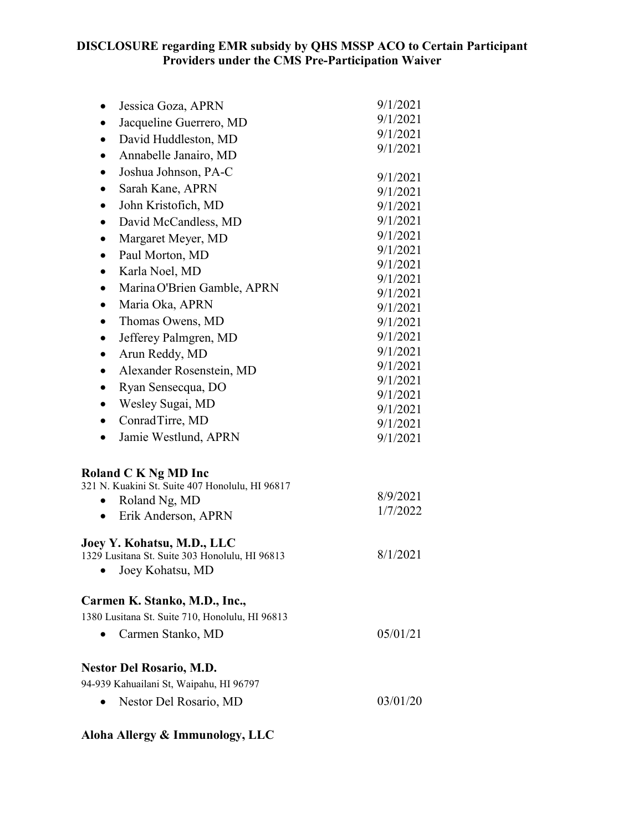| Jessica Goza, APRN<br>$\bullet$                 | 9/1/2021             |
|-------------------------------------------------|----------------------|
| Jacqueline Guerrero, MD<br>$\bullet$            | 9/1/2021             |
| David Huddleston, MD                            | 9/1/2021             |
| Annabelle Janairo, MD<br>٠                      | 9/1/2021             |
| Joshua Johnson, PA-C                            |                      |
| Sarah Kane, APRN                                | 9/1/2021             |
| ٠                                               | 9/1/2021             |
| John Kristofich, MD<br>$\bullet$                | 9/1/2021<br>9/1/2021 |
| David McCandless, MD<br>$\bullet$               | 9/1/2021             |
| Margaret Meyer, MD<br>$\bullet$                 | 9/1/2021             |
| Paul Morton, MD<br>٠                            | 9/1/2021             |
| Karla Noel, MD<br>$\bullet$                     | 9/1/2021             |
| Marina O'Brien Gamble, APRN<br>٠                | 9/1/2021             |
| Maria Oka, APRN<br>$\bullet$                    | 9/1/2021             |
| Thomas Owens, MD<br>$\bullet$                   | 9/1/2021             |
| Jefferey Palmgren, MD<br>$\bullet$              | 9/1/2021             |
| Arun Reddy, MD<br>٠                             | 9/1/2021             |
| Alexander Rosenstein, MD<br>$\bullet$           | 9/1/2021             |
| Ryan Sensecqua, DO<br>$\bullet$                 | 9/1/2021<br>9/1/2021 |
| Wesley Sugai, MD                                | 9/1/2021             |
| ConradTirre, MD<br>$\bullet$                    | 9/1/2021             |
| Jamie Westlund, APRN                            | 9/1/2021             |
| <b>Roland C K Ng MD Inc</b>                     |                      |
| 321 N. Kuakini St. Suite 407 Honolulu, HI 96817 |                      |
| Roland Ng, MD<br>$\bullet$                      | 8/9/2021<br>1/7/2022 |
| Erik Anderson, APRN                             |                      |
| Joey Y. Kohatsu, M.D., LLC                      |                      |
| 1329 Lusitana St. Suite 303 Honolulu, HI 96813  | 8/1/2021             |
| Joey Kohatsu, MD                                |                      |
| Carmen K. Stanko, M.D., Inc.,                   |                      |
| 1380 Lusitana St. Suite 710, Honolulu, HI 96813 |                      |
| Carmen Stanko, MD                               | 05/01/21             |
| <b>Nestor Del Rosario, M.D.</b>                 |                      |
| 94-939 Kahuailani St, Waipahu, HI 96797         |                      |
| Nestor Del Rosario, MD                          | 03/01/20             |
| Aloha Allergy & Immunology, LLC                 |                      |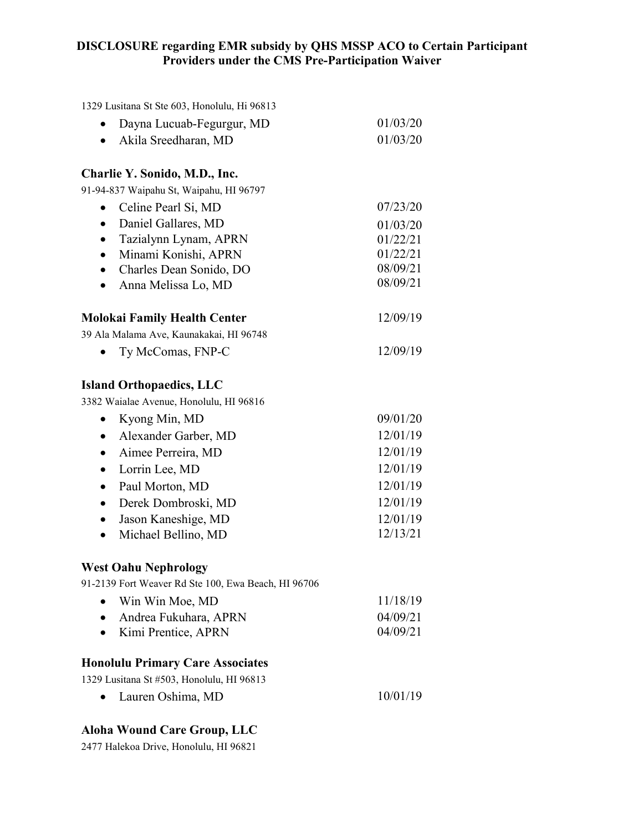| 1329 Lusitana St Ste 603, Honolulu, Hi 96813        |                      |
|-----------------------------------------------------|----------------------|
| Dayna Lucuab-Fegurgur, MD                           | 01/03/20             |
| Akila Sreedharan, MD<br>$\bullet$                   | 01/03/20             |
| Charlie Y. Sonido, M.D., Inc.                       |                      |
| 91-94-837 Waipahu St, Waipahu, HI 96797             |                      |
| Celine Pearl Si, MD                                 | 07/23/20             |
| Daniel Gallares, MD<br>$\bullet$                    | 01/03/20             |
| Tazialynn Lynam, APRN                               | 01/22/21             |
| Minami Konishi, APRN                                | 01/22/21             |
| Charles Dean Sonido, DO<br>$\bullet$                | 08/09/21<br>08/09/21 |
| Anna Melissa Lo, MD                                 |                      |
| Molokai Family Health Center                        | 12/09/19             |
| 39 Ala Malama Ave, Kaunakakai, HI 96748             |                      |
| Ty McComas, FNP-C                                   | 12/09/19             |
| <b>Island Orthopaedics, LLC</b>                     |                      |
| 3382 Waialae Avenue, Honolulu, HI 96816             |                      |
| Kyong Min, MD<br>٠                                  | 09/01/20             |
| Alexander Garber, MD                                | 12/01/19             |
| Aimee Perreira, MD<br>$\bullet$                     | 12/01/19             |
| Lorrin Lee, MD<br>$\bullet$                         | 12/01/19             |
| Paul Morton, MD                                     | 12/01/19             |
| Derek Dombroski, MD<br>$\bullet$                    | 12/01/19             |
| Jason Kaneshige, MD<br>$\bullet$                    | 12/01/19             |
| Michael Bellino, MD<br>$\bullet$                    | 12/13/21             |
| <b>West Oahu Nephrology</b>                         |                      |
| 91-2139 Fort Weaver Rd Ste 100, Ewa Beach, HI 96706 |                      |
| Win Win Moe, MD                                     | 11/18/19             |
| Andrea Fukuhara, APRN                               | 04/09/21             |
| Kimi Prentice, APRN                                 | 04/09/21             |
| <b>Honolulu Primary Care Associates</b>             |                      |
| 1329 Lusitana St #503, Honolulu, HI 96813           |                      |
| Lauren Oshima, MD                                   | 10/01/19             |
|                                                     |                      |

# **Aloha Wound Care Group, LLC**

2477 Halekoa Drive, Honolulu, HI 96821